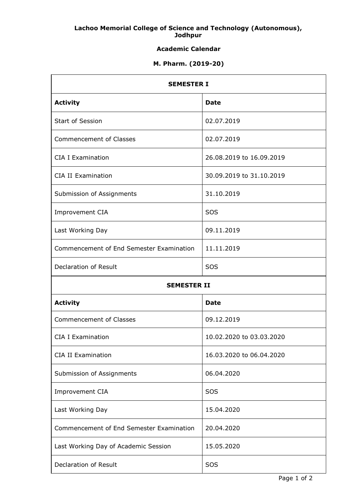### **Lachoo Memorial College of Science and Technology (Autonomous), Jodhpur**

# **Academic Calendar**

## **M. Pharm. (2019-20)**

| <b>SEMESTER I</b>                        |                          |
|------------------------------------------|--------------------------|
| <b>Activity</b>                          | <b>Date</b>              |
| Start of Session                         | 02.07.2019               |
| <b>Commencement of Classes</b>           | 02.07.2019               |
| <b>CIA I Examination</b>                 | 26.08.2019 to 16.09.2019 |
| <b>CIA II Examination</b>                | 30.09.2019 to 31.10.2019 |
| Submission of Assignments                | 31.10.2019               |
| Improvement CIA                          | SOS                      |
| Last Working Day                         | 09.11.2019               |
| Commencement of End Semester Examination | 11.11.2019               |
| Declaration of Result                    | SOS                      |
| <b>SEMESTER II</b>                       |                          |
|                                          |                          |
| <b>Activity</b>                          | <b>Date</b>              |
| <b>Commencement of Classes</b>           | 09.12.2019               |
| <b>CIA I Examination</b>                 | 10.02.2020 to 03.03.2020 |
| <b>CIA II Examination</b>                | 16.03.2020 to 06.04.2020 |
| Submission of Assignments                | 06.04.2020               |
| Improvement CIA                          | SOS                      |
| Last Working Day                         | 15.04.2020               |
| Commencement of End Semester Examination | 20.04.2020               |
| Last Working Day of Academic Session     | 15.05.2020               |